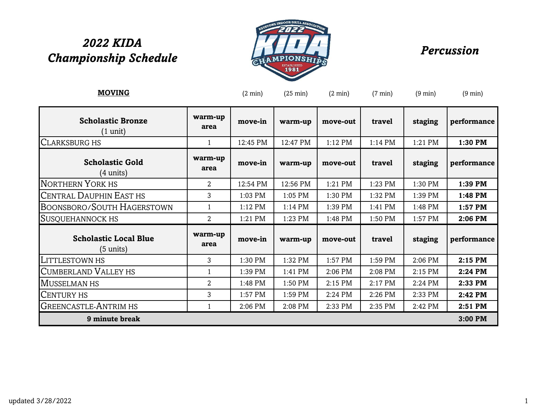# *2022 KIDA Championship Schedule Percussion*



| <b>MOVING</b>                                       |                 | $(2 \text{ min})$ | $(25 \text{ min})$ | $(2 \text{ min})$ | $(7 \text{ min})$ | $(9 \text{ min})$ | $(9 \text{ min})$ |
|-----------------------------------------------------|-----------------|-------------------|--------------------|-------------------|-------------------|-------------------|-------------------|
| <b>Scholastic Bronze</b><br>(1 unit)                | warm-up<br>area | move-in           | warm-up            | move-out          | travel            | staging           | performance       |
| <b>CLARKSBURG HS</b>                                | 1               | 12:45 PM          | 12:47 PM           | $1:12$ PM         | 1:14 PM           | 1:21 PM           | 1:30 PM           |
| <b>Scholastic Gold</b><br>$(4 \text{ units})$       | warm-up<br>area | move-in           | warm-up            | move-out          | travel            | staging           | performance       |
| <b>NORTHERN YORK HS</b>                             | 2               | 12:54 PM          | 12:56 PM           | 1:21 PM           | 1:23 PM           | 1:30 PM           | 1:39 PM           |
| <b>CENTRAL DAUPHIN EAST HS</b>                      | 3               | 1:03 PM           | 1:05 PM            | 1:30 PM           | 1:32 PM           | 1:39 PM           | 1:48 PM           |
| BOONSBORO/SOUTH HAGERSTOWN                          |                 | 1:12 PM           | 1:14 PM            | 1:39 PM           | 1:41 PM           | 1:48 PM           | 1:57 PM           |
| <b>SUSQUEHANNOCK HS</b>                             | 2               | 1:21 PM           | 1:23 PM            | 1:48 PM           | 1:50 PM           | 1:57 PM           | 2:06 PM           |
| <b>Scholastic Local Blue</b><br>$(5 \text{ units})$ | warm-up<br>area | move-in           | warm-up            | move-out          | travel            | staging           | performance       |
| LITTLESTOWN HS                                      | 3               | 1:30 PM           | 1:32 PM            | 1:57 PM           | 1:59 PM           | 2:06 PM           | $2:15$ PM         |
| <b>CUMBERLAND VALLEY HS</b>                         | $\mathbf{1}$    | 1:39 PM           | 1:41 PM            | 2:06 PM           | 2:08 PM           | 2:15 PM           | 2:24 PM           |
| <b>MUSSELMAN HS</b>                                 | $\overline{2}$  | 1:48 PM           | 1:50 PM            | 2:15 PM           | 2:17 PM           | 2:24 PM           | 2:33 PM           |
| <b>CENTURY HS</b>                                   | 3               | 1:57 PM           | 1:59 PM            | 2:24 PM           | 2:26 PM           | 2:33 PM           | 2:42 PM           |
| <b>GREENCASTLE-ANTRIM HS</b>                        | 1               | 2:06 PM           | 2:08 PM            | 2:33 PM           | 2:35 PM           | 2:42 PM           | 2:51 PM           |
| 9 minute break                                      |                 |                   |                    |                   |                   |                   | 3:00 PM           |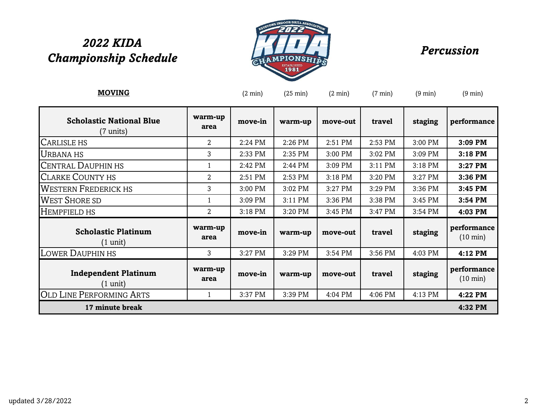# *2022 KIDA*  zozz KIDA<br>Championship Schedule *Percussion*



| <u>MOVING</u>                                     |                 | $(2 \text{ min})$ | $(25 \text{ min})$ | $(2 \text{ min})$ | $(7 \text{ min})$ | $(9 \text{ min})$ | $(9 \text{ min})$                 |  |  |
|---------------------------------------------------|-----------------|-------------------|--------------------|-------------------|-------------------|-------------------|-----------------------------------|--|--|
| <b>Scholastic National Blue</b><br>(7 units)      | warm-up<br>area | move-in           | warm-up            | move-out          | travel            | staging           | performance                       |  |  |
| CARLISLE HS                                       | $\overline{2}$  | 2:24 PM           | 2:26 PM            | 2:51 PM           | 2:53 PM           | 3:00 PM           | 3:09 PM                           |  |  |
| <b>URBANA HS</b>                                  | 3               | 2:33 PM           | 2:35 PM            | 3:00 PM           | 3:02 PM           | 3:09 PM           | 3:18 PM                           |  |  |
| <b>CENTRAL DAUPHIN HS</b>                         |                 | 2:42 PM           | 2:44 PM            | 3:09 PM           | 3:11 PM           | 3:18 PM           | 3:27 PM                           |  |  |
| <b>CLARKE COUNTY HS</b>                           | $\overline{2}$  | 2:51 PM           | 2:53 PM            | 3:18 PM           | 3:20 PM           | 3:27 PM           | 3:36 PM                           |  |  |
| <b>WESTERN FREDERICK HS</b>                       | 3               | 3:00 PM           | 3:02 PM            | 3:27 PM           | 3:29 PM           | 3:36 PM           | 3:45 PM                           |  |  |
| <b>WEST SHORE SD</b>                              |                 | 3:09 PM           | 3:11 PM            | 3:36 PM           | 3:38 PM           | 3:45 PM           | 3:54 PM                           |  |  |
| HEMPFIELD HS                                      | $\overline{2}$  | 3:18 PM           | 3:20 PM            | 3:45 PM           | 3:47 PM           | 3:54 PM           | 4:03 PM                           |  |  |
| <b>Scholastic Platinum</b><br>$(1 \text{ unit})$  | warm-up<br>area | move-in           | warm-up            | move-out          | travel            | staging           | performance<br>$(10 \text{ min})$ |  |  |
| <b>LOWER DAUPHIN HS</b>                           | 3               | 3:27 PM           | 3:29 PM            | 3:54 PM           | 3:56 PM           | 4:03 PM           | 4:12 PM                           |  |  |
| <b>Independent Platinum</b><br>$(1 \text{ unit})$ | warm-up<br>area | move-in           | warm-up            | move-out          | travel            | staging           | performance<br>$(10 \text{ min})$ |  |  |
| <b>OLD LINE PERFORMING ARTS</b>                   | 1               | 3:37 PM           | 3:39 PM            | 4:04 PM           | 4:06 PM           | 4:13 PM           | 4:22 PM                           |  |  |
| 17 minute break                                   |                 |                   | 4:32 PM            |                   |                   |                   |                                   |  |  |